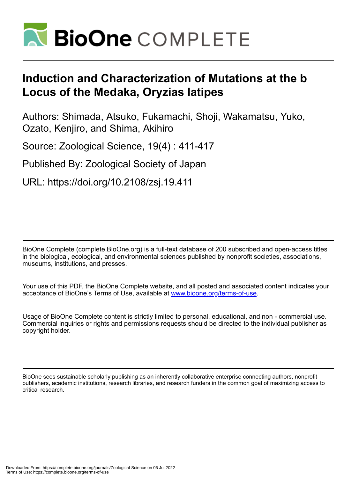

# **Induction and Characterization of Mutations at the b Locus of the Medaka, Oryzias latipes**

Authors: Shimada, Atsuko, Fukamachi, Shoji, Wakamatsu, Yuko, Ozato, Kenjiro, and Shima, Akihiro

Source: Zoological Science, 19(4) : 411-417

Published By: Zoological Society of Japan

URL: https://doi.org/10.2108/zsj.19.411

BioOne Complete (complete.BioOne.org) is a full-text database of 200 subscribed and open-access titles in the biological, ecological, and environmental sciences published by nonprofit societies, associations, museums, institutions, and presses.

Your use of this PDF, the BioOne Complete website, and all posted and associated content indicates your acceptance of BioOne's Terms of Use, available at www.bioone.org/terms-of-use.

Usage of BioOne Complete content is strictly limited to personal, educational, and non - commercial use. Commercial inquiries or rights and permissions requests should be directed to the individual publisher as copyright holder.

BioOne sees sustainable scholarly publishing as an inherently collaborative enterprise connecting authors, nonprofit publishers, academic institutions, research libraries, and research funders in the common goal of maximizing access to critical research.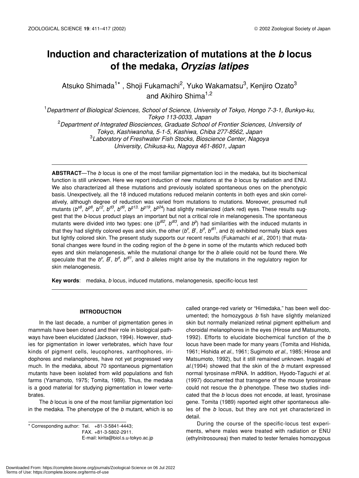# **Induction and characterization of mutations at the** *b* **locus of the medaka,** *Oryzias latipes*

Atsuko Shimada $^{1*}$  , Shoji Fukamachi<sup>2</sup>, Yuko Wakamatsu $^3$ , Kenjiro Ozato $^3$ and Akihiro Shima<sup>1,2</sup>

1 *Department of Biological Sciences, School of Science, University of Tokyo, Hongo 7-3-1, Bunkyo-ku, Tokyo 113-0033, Japan*

2 *Department of Integrated Biosciences, Graduate School of Frontier Sciences, University of Tokyo, Kashiwanoha, 5-1-5, Kashiwa, Chiba 277-8562, Japan* 3 *Laboratory of Freshwater Fish Stocks, Bioscience Center, Nagoya University, Chikusa-ku, Nagoya 461-8601, Japan*

**ABSTRACT**—The *b* locus is one of the most familiar pigmentation loci in the medaka, but its biochemical function is still unknown. Here we report induction of new mutations at the *b* locus by radiation and ENU. We also characterized all these mutations and previously isolated spontaneous ones on the phenotypic basis. Unexpectively, all the 18 induced mutations reduced melanin contents in both eyes and skin correlatively, although degree of reduction was varied from mutations to mutations. Moreover, presumed null mutants ( $b^{88}$ ,  $b^{98}$ ,  $b^{62}$ ,  $b^{d3}$ ,  $b^{d6}$ ,  $b^{g13}$ ,  $b^{g19}$ ,  $b^{g24}$ ) had slightly melanized (dark red) eyes. These results suggest that the *b*-locus product plays an important but not a critical role in melanogenesis. The spontaneous mutants were divided into two types: one (*b<sup>dl2</sup>, b<sup>dl3</sup>,* and *b*<sup>p</sup>) had similarities with the induced mutants in that they had slightly colored eyes and skin, the other (*b<sup>v</sup>, B<sup>'</sup>, b<sup>d',</sup> b<sup>d/1</sup>, and b*) exhibited normally black eyes but lightly colored skin. The present study supports our recent results (Fukamachi et al., 2001) that mutational changes were found in the coding region of the *b* gene in some of the mutants which reduced both eyes and skin melanogenesis, while the mutational change for the *b* allele could not be found there. We speculate that the *b<sup>v</sup>*, *B*<sup>*,*</sup>, *b<sup>d</sup>*, *b<sup>d/</sup>*, and *b* alleles might arise by the mutations in the regulatory region for skin melanogenesis.

**Key words**: medaka, *b* locus, induced mutations, melanogenesis, specific-locus test

# **INTRODUCTION**

In the last decade, a number of pigmentation genes in mammals have been cloned and their role in biological pathways have been elucidated (Jackson, 1994). However, studies for pigmentation in lower vertebrates, which have four kinds of pigment cells, leucophores, xanthophores, iridophores and melanophores, have not yet progressed very much. In the medaka, about 70 spontaneous pigmentation mutants have been isolated from wild populations and fish farms (Yamamoto, 1975; Tomita, 1989). Thus, the medaka is a good material for studying pigmentation in lower vertebrates.

The *b* locus is one of the most familiar pigmentation loci in the medaka. The phenotype of the *b* mutant, which is so

\* Corresponding author: Tel. +81-3-5841-4443; FAX. +81-3-5802-2911. E-mail: kirita@biol.s.u-tokyo.ac.jp called orange-red variety or "Himedaka," has been well documented; the homozygous *b* fish have slightly melanized skin but normally melanized retinal pigment epithelium and choroidal melanophores in the eyes (Hirose and Matsumoto, 1992). Efforts to elucidate biochemical function of the *b* locus have been made for many years (Tomita and Hishida, 1961; Hishida *et al*., 1961; Sugimoto *et al.,* 1985; Hirose and Matsumoto, 1992), but it still remained unknown. Inagaki *et al*.(1994) showed that the skin of the *b* mutant expressed normal tyrosinase mRNA. In addition, Hyodo-Taguchi *et al.* (1997) documented that transgene of the mouse tyrosinase could not rescue the *b* phenotype. These two studies indicated that the *b* locus does not encode, at least, tyrosinase gene. Tomita (1989) reported eight other spontaneous alleles of the *b* locus, but they are not yet characterized in detail.

During the course of the specific-locus test experiments, where males were treated with radiation or ENU (ethylnitrosourea) then mated to tester females homozygous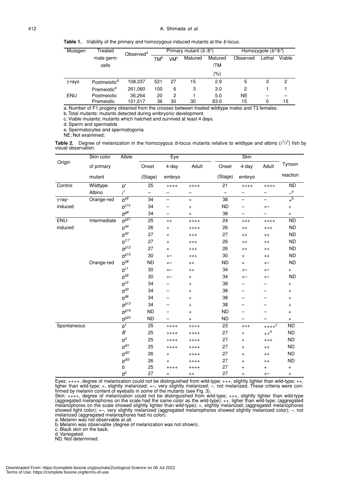**Table 1.** Viability of the primary and homozygous induced mutants at the *b* locus.

| Mutagen        | Treated                  | Observed <sup>a</sup> | Primary mutant $(b/b^*)$ |                 |         |         | Homozygote $(b^*/b^*)$ |        |        |
|----------------|--------------------------|-----------------------|--------------------------|-----------------|---------|---------|------------------------|--------|--------|
|                | male germ                |                       | TM <sup>b</sup>          | VM <sup>c</sup> | Matured | Matured | Observed               | Lethal | Viable |
|                | cells                    |                       |                          |                 |         | /TM     |                        |        |        |
|                |                          |                       |                          |                 |         | (%)     |                        |        |        |
| $\gamma$ -rays | Postmeiotic <sup>a</sup> | 108,337               | 521                      | 27              | 15      | 2.9     | 5                      | 3      | 2      |
|                | Premeiotice              | 261,060               | 100                      | 6               | 3       | 3.0     | 2                      |        |        |
| ENU            | Postmeiotic              | 36.264                | 20                       | 2               |         | 5.0     | <b>NE</b>              |        |        |
|                | Premeiotic               | 101.517               | 36                       | 30              | 30      | 83.0    | 15                     | 0      | 15     |

a. Number of F1 progeny obtained from the crosses between treated wildtype males and T3 females.

b. Total mutants: mutants detected during embryonic development.

c. Viable mutants: mutants which hatched and survived at least 4 days.

d. Sperm and spermatids

e. Spermatocytes and spermatogonia

NE; Not exaimined;

**Table 2.** Degree of melanization in the homozygous *b*-locus mutants relative to wildtype and albino (*i 1* /*i 1* ) fish by visual observation.

|                | Skin color<br>Allele |                                     |           | Eye           |                | <b>Skin</b> |                                  |                       |                                  |
|----------------|----------------------|-------------------------------------|-----------|---------------|----------------|-------------|----------------------------------|-----------------------|----------------------------------|
| Origin         | of primary           |                                     | Onset     | 4-day         | Adult          | Onset       | 4-day                            | Adult                 | Tyrosin                          |
|                | mutant               |                                     | (Stage)   | embryo        |                | (Stage)     | embryo                           |                       | reaction                         |
| Control        | Wildtype             | $b^\mathrm{+}$                      | 25        | $+++++$       | $+++++$        | 21          | $+++++$                          | $+++++$               | ND                               |
|                | Albino               | i <sup>1</sup>                      |           |               | -              |             |                                  | -                     | $\overline{\phantom{a}}^a$       |
| $\gamma$ -ray- | Orange-red           | $b^{\overline{s\overline{\theta}}}$ | 34        | -             | $\ddot{}$      | 38          | $\overline{\phantom{0}}$         | -                     | $+\overline{b}$                  |
| induced        |                      | $b^{s14}$                           | 34        |               | $\ddot{}$      | <b>ND</b>   | -                                | $\mathrm{+}-$         | $\begin{array}{c} + \end{array}$ |
|                |                      | $b^{g8}$                            | 34        |               | $\ddot{}$      | 38          |                                  |                       | $\ddot{}$                        |
| ENU-           | Intermediate         | $b^{g21}$                           | 25        | $^{++}$       | $+++++$        | 24          | $^{+++}$                         | $+++++$               | <b>ND</b>                        |
| induced        |                      | $b^{d4}$                            | 26        | $\ddot{}$     | $+++++$        | 26          | $^{++}$                          | $^{+++}$              | <b>ND</b>                        |
|                |                      | $h^{d2}$                            | 27        | $\ddot{}$     | $^{+++}$       | 27          | $^{++}$                          | $^{++}$               | <b>ND</b>                        |
|                |                      | $b^{t17}$                           | 27        | $\ddot{}$     | $^{+++}$       | 26          | $^{++}$                          | $^{++}$               | <b>ND</b>                        |
|                |                      | $b^{g12}$                           | 27        | $+$           | $^{+++}$       | 26          | $^{++}$                          | $^{++}$               | <b>ND</b>                        |
|                |                      | $b^{g15}$                           | 30        | $^{+-}$       | $^{+++}$       | 30          | $\ddot{}$                        | $^{++}$               | <b>ND</b>                        |
|                | Orange-red           | $b^{d8}$                            | <b>ND</b> | $^{+-}$       | $^{++}$        | <b>ND</b>   | $\ddot{}$                        | $\qquad \qquad +\! -$ | <b>ND</b>                        |
|                |                      | $b^{c1}$                            | 30        | $\mathrm{+}-$ | $^{++}$        | 34          | $\mathrm{+}-$                    | $^{+-}$               | $+$                              |
|                |                      | $b^{d5}$                            | 30        | $\mathrm{+}-$ | $\ddot{}$      | 34          | $^{+-}$                          | $^{+-}$               | <b>ND</b>                        |
|                |                      | $b^{c2}$                            | 34        |               | $\ddot{}$      | 38          |                                  |                       | $\begin{array}{c} + \end{array}$ |
|                |                      | $h^{d3}$                            | 34        |               | $\ddot{}$      | 38          |                                  |                       | $\ddot{}$                        |
|                |                      | $b^{d6}$                            | 34        |               | $\ddot{}$      | 38          |                                  |                       | $\ddot{}$                        |
|                |                      | $b^{g13}$                           | 34        |               | $\ddot{}$      | 38          |                                  |                       | $\ddot{}$                        |
|                |                      | $h^{g19}$                           | <b>ND</b> |               | $\ddot{}$      | <b>ND</b>   |                                  |                       | $\ddot{}$                        |
|                |                      | $b^{g24}$                           | <b>ND</b> |               | $\overline{+}$ | <b>ND</b>   |                                  | -                     | $\ddot{}$                        |
| Spontaneous    |                      | $b^{\vee}$                          | 25        | $+++++$       | $+++++$        | 23          | $^{+++}$                         | $***c$                | <b>ND</b>                        |
|                |                      | $\boldsymbol{B}$                    | 25        | $++++$        | $+++++$        | 27          | $\ddot{}$                        | $++^d$                | <b>ND</b>                        |
|                |                      | $b^d$                               | 25        | $++++$        | $+++++$        | 27          | $\begin{array}{c} + \end{array}$ | $^{+++}$              | <b>ND</b>                        |
|                |                      | $b^{d\!/\!1}$                       | 25        | $++++$        | $+++++$        | 27          | $\ddot{}$                        | $^{++}$               | <b>ND</b>                        |
|                |                      | $b^{d/2}$                           | 26        | $\ddot{}$     | $+++++$        | 27          | $\ddot{}$                        | $^{++}$               | <b>ND</b>                        |
|                |                      | $b^{d/3}$                           | 26        | $+$           | $+++++$        | 27          | $\begin{array}{c} + \end{array}$ | $^{++}$               | <b>ND</b>                        |
|                |                      | b                                   | 25        | $++++$        | $+++++$        | 27          | $\ddot{}$                        | $^{+}$                | $\begin{array}{c} + \end{array}$ |
|                |                      | $b^p$                               | 27        | $\ddot{}$     | $^{++}$        | 27          | $\begin{array}{c} + \end{array}$ | $^{+-}$               | $+$                              |

Eyes: ++++, degree of melanization could not be distinguished from wild-type; +++, slightly lighter than wild-type; ++, ligher than wild-type; +, slightly melanized; +–, very slightly melanized; –, not melanized. These criteria were confirmed by melanin content of eyeballs in some of the mutants (see Fig. 3).

Skin: ++++, degree of melanization could not be distinguished from wild-type; +++, slightly lighter than wild-type (aggregated melanophores on the scale had the same color as the wild-type); ++, ligher than wild-type; (aggregated melanophores on the scale showed slightly lighter than wild-type); +, slightly melanized; (aggregated melanophores showed light color); +–, very slightly melanized (aggregated melanophores showed slightly melanized color); –, not melanized (aggregated melanophores had no color).

a. Melanin was not observable at all.

b. Melanin was observable (degree of melanization was not shown).

c. Black skin on the back.

d. Variegated.

ND, Not determined.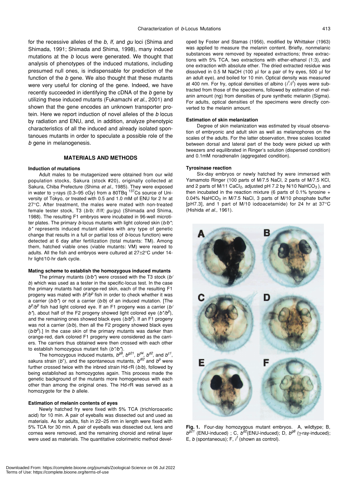for the recessive alleles of the *b, lf,* and *gu* loci (Shima and Shimada, 1991; Shimada and Shima, 1998), many induced mutations at the *b* locus were generated. We thought that analysis of phenotypes of the induced mutations, including presumed null ones, is indispensable for prediction of the function of the *b* gene. We also thought that these mutants were very useful for cloning of the gene. Indeed, we have recently succeeded in identifying the cDNA of the *b* gene by utilizing these induced mutants (Fukamachi *et al*., 2001) and shown that the gene encodes an unknown transporter protein. Here we report induction of novel alleles of the *b* locus by radiation and ENU, and, in addition, analyze phenotypic characteristics of all the induced and already isolated spontanoues mutants in order to speculate a possible role of the *b* gene in melanogenesis.

# **MATERIALS AND METHODS**

#### **Induction of mutations**

Adult males to be mutagenized were obtained from our wild population stocks, Sakura (stock #20), originally collected at Sakura, Chiba Prefecture (Shima *et al*., 1985). They were exposed in water to  $\gamma$ -rays (0.3–95 cGy) from a 80TBq  $^{137}$ Cs source of University of Tokyo, or treated with 0.5 and 1.0 mM of ENU for 2 hr at 27°C. After treatment, the males were mated with non-treated female tester stock, T3 (*b/b; lf/lf; gu/gu*) (Shimada and Shima, 1988). The resulting F1 embryos were incubated in 96-well microtiter plates. The primary *b*-locus mutants with light colored skin (*b/b\**; *b\** represents induced mutant alleles with any type of genetic change that results in a full or partial loss of *b*-locus function) were detected at 6 day after fertilization (total mutants: TM). Among them, hatched viable ones (viable mutants: VM) were reared to adults. All the fish and embryos were cultured at 27±2°C under 14 hr light/10-hr dark cycle.

#### **Mating scheme to establish the homozygous induced mutants**

The primary mutants (*b/b\**) were crossed with the T3 stock (*b/ b*) which was used as a tester in the specific-locus test. In the case the primary mutants had orange-red skin, each of the resulting F1 progeny was mated with  $b^{\rho}/b^{\rho}$  fish in order to check whether it was a carrier (*b/b\**) or not a carrier (*b/b*) of an induced mutation. [The *bp /bp* fish had light colored eye. If an F1 progeny was a carrier (*b/ b\**), about half of the F2 progeny showed light colored eye (*b\*/b<sup>p</sup>* ), and the remaining ones showed black eyes (*b/b<sup>p</sup>* ). If an F1 progeny was not a carrier (*b/b*), then all the F2 progeny showed black eyes (*b/b<sup>p</sup>* ).] In the case skin of the primary mutants was darker than orange-red, dark colored F1 progeny were considered as the carriers. The carriers thus obtained were then crossed with each other to establish homozygous mutant fish (*b\*/b\**).

The homozygous induced mutants,  $b^{g\beta}$ ,  $b^{g21}$ ,  $b^{d4}$ ,  $b^{d2}$ , and  $b^{c1}$ , sakura strain (*b*<sup>+</sup>), and the spontaneous mutants,  $b^{dl2}$  and  $b^{\rho}$  were further crossed twice with the inbred strain Hd-rR (*b/b*), followed by being established as homozygotes again. This process made the genetic background of the mutants more homogeneous with each other than among the original ones. The Hd-rR was served as a homozygote for the *b* allele.

#### **Estimation of melanin contents of eyes**

Newly hatched fry were fixed with 5% TCA (trichloroacetic acid) for 10 min. A pair of eyeballs was dissected out and used as materials. As for adults, fish in 22–25 mm in length were fixed with 5% TCA for 30 min. A pair of eyeballs was dissected out, lens and cornea were removed, and the remaining choroid and retinal layer were used as materials. The quantitative colorimetric method developed by Foster and Stamas (1956), modified by Whittaker (1963) was applied to measure the melanin content. Briefly, nonmelanic substances were removed by repeated extractions; three extractions with 5% TCA, two extractions with ether-ethanol (1:3), and one extraction with absolute ether. The dried extracted residue was dissolved in 0.5 M NaOH (100 µl for a pair of fry eyes, 500 µl for an adult eye), and boiled for 10 min. Optical density was measured at 400 nm. For fry, optical densities of albino  $(i^{1}/i^{1})$  eyes were subtracted from those of the specimens, followed by estimation of melanin amount (ng) from densities of pure synthetic melanin (Sigma). For adults, optical densities of the specimens were directly converted to the melanin amount.

#### **Estimation of skin melanization**

Degree of skin melanization was estimated by visual observation of embryonic and adult skin as well as melanophores on the scales of the adults. For the latter observation, three scales located between dorsal and lateral part of the body were picked up with tweezers and equilibrated in Ringer's solution (dispersed condition) and 0.1mM noradrenalin (aggregated condition).

#### **Tyrosinase reaction**

Six-day embryos or newly hatched fry were immersed with Yamamoto Ringer (100 parts of M/7.5 NaCl, 2 parts of M/7.5 KCl, and 2 parts of  $M/11$  CaCl<sub>2</sub>, adjusted pH 7.2 by N/10 NaHCO<sub>3</sub>), and then incubated in the reaction mixture (6 parts of 0.1% tyrosine  $+$ 0.04% NaHCO<sub>3</sub> in M/7.5 NaCl, 3 parts of M/10 phosphate buffer [pH7.3], and 1 part of M/10 iodoacetamide) for 24 hr at 37°C (Hishida *et al*., 1961).

**Fig. 1.** Four-day homozygous mutant embryos. A, wildtype; B, *bg21* (ENU-induced) ; C, *bd2*(ENU-induced); D, *bg8* (γ-ray-induced); E,  $b$  (spontaneous); F,  $i^1$  (shown as control).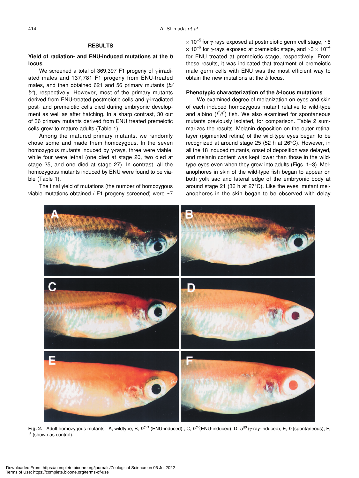# **RESULTS**

# **Yield of radiation- and ENU-induced mutations at the** *b* **locus**

We screened a total of 369,397 F1 progeny of γ-irradiated males and 137,781 F1 progeny from ENU-treated males, and then obtained 621 and 56 primary mutants (*b/ b\**), respectively. However, most of the primary mutants derived from ENU-treated postmeiotic cells and γ-irradiated post- and premeiotic cells died during embryonic development as well as after hatching. In a sharp contrast, 30 out of 36 primary mutants derived from ENU treated premeiotic cells grew to mature adults (Table 1).

Among the matured primary mutants, we randomly chose some and made them homozygous. In the seven homozygous mutants induced by γ-rays, three were viable, while four were lethal (one died at stage 20, two died at stage 25, and one died at stage 27). In contrast, all the homozygous mutants induced by ENU were found to be viable (Table 1).

The final yield of mutations (the number of homozygous viable mutations obtained / F1 progeny screened) were ~7  $\times$  10<sup>-5</sup> for *γ*-rays exposed at postmeiotic germ cell stage,  $\sim$ 6  $\times$  10<sup>-6</sup> for γ-rays exposed at premeiotic stage, and  $\sim$ 3  $\times$  10<sup>-4</sup> for ENU treated at premeiotic stage, respectively. From these results, it was indicated that treatment of premeiotic male germ cells with ENU was the most efficient way to obtain the new mutations at the *b* locus.

# **Phenotypic characterization of the** *b***-locus mutations**

We examined degree of melanization on eyes and skin of each induced homozygous mutant relative to wild-type and albino (*i 1 /i1* ) fish. We also examined for spontaneous mutants previously isolated, for comparison. Table 2 summarizes the results. Melanin deposition on the outer retinal layer (pigmented retina) of the wild-type eyes began to be recognized at around stage 25 (52 h at 26°C). However, in all the 18 induced mutants, onset of deposition was delayed, and melanin content was kept lower than those in the wildtype eyes even when they grew into adults (Figs. 1–3). Melanophores in skin of the wild-type fish began to appear on both yolk sac and lateral edge of the embryonic body at around stage 21 (36 h at 27°C). Like the eyes, mutant melanophores in the skin began to be observed with delay



**Fig. 2.** Adult homozygous mutants. A, wildtype; B, *bg21* (ENU-induced) ; C, *bd2*(ENU-induced); D, *bg8* (γ-ray-induced); E, *b* (spontaneous); F, *i <sup>1</sup>* (shown as control).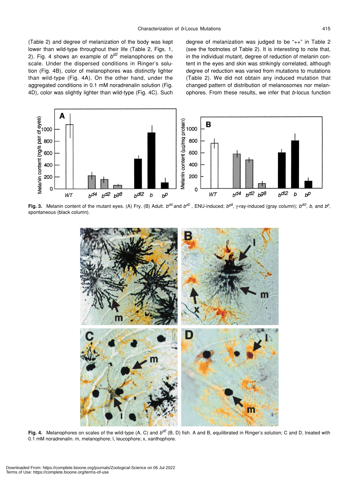(Table 2) and degree of melanization of the body was kept lower than wild-type throughout their life (Table 2, Figs. 1, 2). Fig. 4 shows an example of *bd2* melanophores on the scale. Under the dispersed conditions in Ringer's solution (Fig. 4B), color of melanophores was distinctly lighter than wild-type (Fig. 4A). On the other hand, under the aggregated conditions in 0.1 mM noradrenalin solution (Fig. 4D), color was slightly lighter than wild-type (Fig. 4C). Such degree of melanization was judged to be "++" in Table 2 (see the footnotes of Table 2). It is interesting to note that, in the individual mutant, degree of reduction of melanin content in the eyes and skin was strikingly correlated, although degree of reduction was varied from mutations to mutations (Table 2). We did not obtain any induced mutation that changed pattern of distribution of melanosomes nor melanophores. From these results, we infer that *b*-locus function



Fig. 3. Melanin content of the mutant eyes. (A) Fry, (B) Adult.  $b^{d4}$  and  $b^{d2}$ , ENU-induced;  $b^{g8}$ ,  $\gamma$ -ray-induced (gray column);  $b^{d/2}$ , b, and  $b^0$ , spontaneous (black column).



**Fig. 4.** Melanophores on scales of the wild-type (A, C) and *bd2* (B, D) fish. A and B, equilibrated in Ringer's solution; C and D, treated with 0.1 mM noradrenalin. m, melanophore; l, leucophore; x, xanthophore.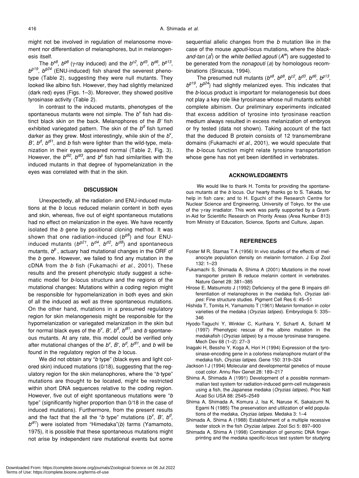might not be involved in regulation of melanosome movement nor differentiation of melanophores, but in melanogenesis itself.

The  $b^{88}$ ,  $b^{98}$  (γ-ray induced) and the  $b^{62}$ ,  $b^{d3}$ ,  $b^{d6}$ ,  $b^{g13}$ , *bg19*, *bg24* (ENU-induced) fish shared the severest phenotype (Table 2), suggesting they were null mutants. They looked like albino fish. However, they had slightly melanized (dark red) eyes (Figs. 1–3). Moreover, they showed positive tyrosinase activity (Table 2).

In contrast to the induced mutants, phenotypes of the spontaneous mutants were not simple. The b<sup>v</sup> fish had distinct black skin on the back. Melanophores of the *B'* fish exhibited variegated pattern. The skin of the *bd* fish turned darker as they grew. Most interestingly, while skin of the b<sup>v</sup>,  $B'$ ,  $b^{d}$ ,  $b^{d/1}$ , and *b* fish were lighter than the wild-type, melanization in their eyes appeared normal (Table 2, Fig. 3). However, the  $b^{dl2}$ ,  $b^{dl3}$ , and  $b^p$  fish had similarities with the induced mutants in that degree of hypomelanization in the eyes was correlated with that in the skin.

#### **DISCUSSION**

Unexpectedly, all the radiation- and ENU-induced mutations at the *b* locus reduced melanin content in both eyes and skin, whereas, five out of eight spontaneous mutations had no effect on melanization in the eyes. We have recently isolated the *b* gene by positional cloning method. It was shown that one radiation-induced (*bg8*) and four ENUinduced mutants (*bg21*, *bd4*, *bd2*, *bd8*) and spontaneous mutants,  $b^p$ , actuary had mutational changes in the ORF of the *b* gene. However, we failed to find any mutation in the cDNA from the *b* fish (Fukamachi *et al*., 2001). These results and the present phenotypic study suggest a schematic model for *b*-locus structure and the regions of the mutational changes: Mutations within a coding region might be responsible for hypomelanization in both eyes and skin of all the induced as well as three spontaneous mutations. On the other hand, mutations in a presumed regulatory region for skin melanogenesis might be responsible for the hypomelanization or variegated melanization in the skin but for normal black eyes of the *b<sup>v</sup>*, *B'*, *b<sup>d</sup>*, *b<sup>d/1</sup>*, and *b* spontaneous mutants. At any rate, this model could be verified only after mutational changes of the *b<sup>v</sup>*, *B'*, *b<sup>d</sup>*, *b<sup>d/1</sup>*, and *b* will be found in the regulatory region of the *b* locus.

We did not obtain any "*b* type" (black eyes and light colored skin) induced mutations (0/18), suggesting that the regulatory region for the skin melanophores, where the "*b* type" mutations are thought to be located, might be restricted within short DNA sequences relative to the coding region. However, five out of eight spontaneous mutations were "*b* type" (significantly higher proportion than 0/18 in the case of induced mutations). Furthermore, from the present results and the fact that the all the "*b* type" mutations  $(b^V, B', b^d)$ *bdl1*) were isolated from "Himedaka"(*b*) farms (Yamamoto, 1975), it is possible that these spontaneous mutations might not arise by independent rare mutational events but some sequential allelic changes from the *b* mutation like in the case of the mouse *agouti*-locus mutations, where the *blackand-tan* (*at* ) or the *white bellied agouti* (*Aw*) are suggested to be generated from the *nonagouti* (*a*) by homologous recombinations (Siracusa, 1994).

The presumed null mutants  $(b^{s8}, b^{g8}, b^{c2}, b^{d3}, b^{d6}, b^{g13}, b^{g13})$ *bg19*, *bg24*) had slightly melanized eyes. This indicates that the *b*-locus product is important for melanogenesis but does not play a key role like tyrosinase whose null mutants exhibit complete albinism. Our preliminary experiments indicated that excess addition of tyrosine into tyrosinase reaction medium always resulted in excess melanization of embryos or fry tested (data not shown). Taking account of the fact that the deduced B protein consists of 12 transmembrane domains (Fukamachi *et al.*, 2001), we would speculate that the *b*-locus function might relate tyrosine transportation whose gene has not yet been identified in vertebrates.

# **ACKNOWLEDGMENTS**

We would like to thank H. Tomita for providing the spontaneous mutants at the *b* locus. Our hearty thanks go to S. Takada, for help in fish care; and to H. Eguchi of the Research Centre for Nuclear Science and Engineering, University of Tokyo, for the use of the γ-ray irradiator. This work was partly supported by a Grantin-Aid for Scientific Research on Priority Areas (Area Number 813) from Ministry of Education, Science, Sports and Culture, Japan.

# **REFERENCES**

- Foster M R, Stamas T A (1956) In vivo studies of the effects of melanocyte population density on melanin formation. J Exp Zool 132: 1–23
- Fukamachi S, Shimada A, Shima A (2001) Mutations in the novel transporter protein B reduce melanin content in vertebrates. Nature Genet 28: 381–385
- Hirose E, Matsumoto J (1992) Deficiency of the gene B impairs differentiation of melanophores in the medaka fish, *Oryzias latipes*: Fine structure studies. Pigment Cell Res 6: 45–51
- Hishida T, Tomita H, Yamamoto T (1961) Melanin formation in color varieties of the medaka (*Oryzias latipes*). Embryologia 5: 335– 346
- Hyodo-Taguchi Y, Winkler C, Kurihara Y, Schartl A, Schartl M (1997) Phenotypic rescue of the albino mutation in the medakafish (*Oryzias latipes*) by a mouse tyrosinase transgene. Mech Dev 68 (1–2): 27–3
- Inagaki H, Bessho Y, Koga A, Hori H (1994) Expression of the tyrosinase-encoding gene in a colorless melanophore mutant of the medaka fish, *Oryzias latipes*. Gene 150: 319–324
- Jackson I J (1994) Molecular and developmental genetics of mouse coat color. Annu Rev Genet 28: 189–217
- Shima A, Shimada A (1991) Development of a possible nonmammalian test system for radiation-induced germ-cell mutagenesis using a fish, the Japanese medaka (*Oryzias latipes*). Proc Natl Acad Sci USA 88: 2545–2549
- Shima A, Shimada A, Komura J, Isa K, Naruse K, Sakaizumi N, Egami N (1985) The preservation and utilization of wild populations of the medaka, *Oryzias latipes*. Medaka 3: 1–4
- Shimada A, Shima A (1988) Establishment of a multiple recessive tester stock in the fish *Oryzias latipes*. Zool Sci 5: 897–900
- Shimada A, Shima A (1998) Combination of genomic DNA fingerprinting and the medaka specific-locus test system for studying